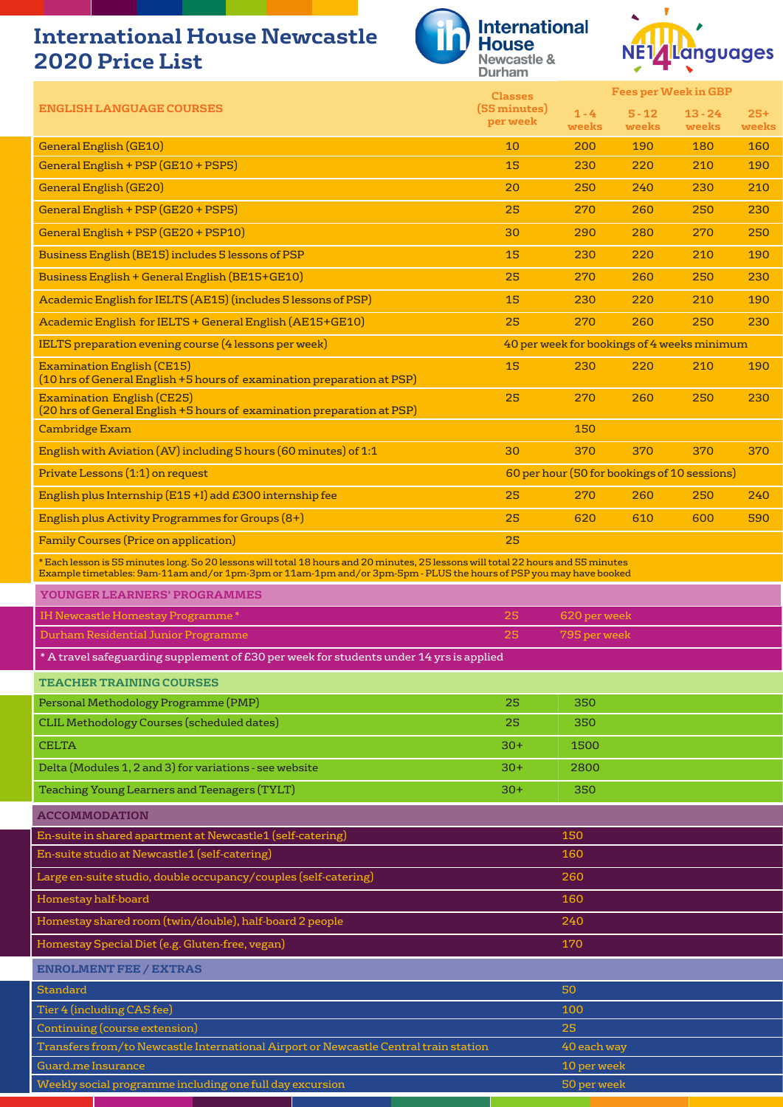## **International House Newcastle 2020 Price List**





|                                                                                                                                                                                                                                                        | <b>Classes</b>           |              | <b>Fees per Week in GBP</b>                  |              |              |
|--------------------------------------------------------------------------------------------------------------------------------------------------------------------------------------------------------------------------------------------------------|--------------------------|--------------|----------------------------------------------|--------------|--------------|
| <b>ENGLISH LANGUAGE COURSES</b>                                                                                                                                                                                                                        | (55 minutes)<br>per week | $1 - 4$      | $5 - 12$                                     | $13 - 24$    | $25+$        |
| <b>General English (GE10)</b>                                                                                                                                                                                                                          | 10                       | weeks<br>200 | weeks<br>190                                 | weeks<br>180 | weeks<br>160 |
| General English + PSP (GE10 + PSP5)                                                                                                                                                                                                                    | 15                       | 230          | 220                                          | 210          | 190          |
| <b>General English (GE20)</b>                                                                                                                                                                                                                          | 20                       | 250          | 240                                          | 230          | 210          |
| General English + PSP (GE20 + PSP5)                                                                                                                                                                                                                    | 25                       | 270          | 260                                          | 250          | 230          |
|                                                                                                                                                                                                                                                        |                          |              |                                              |              |              |
| General English + PSP (GE20 + PSP10)                                                                                                                                                                                                                   | 30                       | 290          | 280                                          | 270          | 250          |
| Business English (BE15) includes 5 lessons of PSP                                                                                                                                                                                                      | 15                       | 230          | 220                                          | 210          | 190          |
| Business English + General English (BE15+GE10)                                                                                                                                                                                                         | 25                       | 270          | 260                                          | 250          | 230          |
| Academic English for IELTS (AE15) (includes 5 lessons of PSP)                                                                                                                                                                                          | 15                       | 230          | 220                                          | 210          | 190          |
| Academic English for IELTS + General English (AE15+GE10)                                                                                                                                                                                               | 25                       | 270          | 260                                          | 250          | 230          |
| IELTS preparation evening course (4 lessons per week)                                                                                                                                                                                                  |                          |              | 40 per week for bookings of 4 weeks minimum  |              |              |
| <b>Examination English (CE15)</b><br>(10 hrs of General English +5 hours of examination preparation at PSP)                                                                                                                                            | 15                       | 230          | 220                                          | 210          | 190          |
| <b>Examination English (CE25)</b><br>(20 hrs of General English +5 hours of examination preparation at PSP)                                                                                                                                            | 25                       | 270          | 260                                          | 250          | 230          |
| <b>Cambridge Exam</b>                                                                                                                                                                                                                                  |                          | 150          |                                              |              |              |
| English with Aviation (AV) including 5 hours (60 minutes) of 1:1                                                                                                                                                                                       | 30                       | 370          | 370                                          | 370          | 370          |
| Private Lessons (1:1) on request                                                                                                                                                                                                                       |                          |              | 60 per hour (50 for bookings of 10 sessions) |              |              |
| English plus Internship (E15+I) add £300 internship fee                                                                                                                                                                                                | 25                       | 270          | 260                                          | 250          | 240          |
| English plus Activity Programmes for Groups (8+)                                                                                                                                                                                                       | 25                       | 620          | 610                                          | 600          | 590          |
| <b>Family Courses (Price on application)</b>                                                                                                                                                                                                           | 25                       |              |                                              |              |              |
| *Each lesson is 55 minutes long. So 20 lessons will total 18 hours and 20 minutes, 25 lessons will total 22 hours and 55 minutes<br>Example timetables: 9am-11am and/or 1pm-3pm or 11am-1pm and/or 3pm-5pm - PLUS the hours of PSP you may have booked |                          |              |                                              |              |              |
| YOUNGER LEARNERS' PROGRAMMES                                                                                                                                                                                                                           |                          |              |                                              |              |              |
| IH Newcastle Homestay Programme*                                                                                                                                                                                                                       | 25                       | 620 per week |                                              |              |              |
| Durham Residential Junior Programme                                                                                                                                                                                                                    | 25                       | 795 per week |                                              |              |              |
| * A travel safeguarding supplement of £30 per week for students under 14 yrs is applied                                                                                                                                                                |                          |              |                                              |              |              |
| <b>TEACHER TRAINING COURSES</b>                                                                                                                                                                                                                        |                          |              |                                              |              |              |
| Personal Methodology Programme (PMP)                                                                                                                                                                                                                   | 25                       | 350          |                                              |              |              |
| <b>CLIL Methodology Courses (scheduled dates)</b>                                                                                                                                                                                                      | 25                       | 350          |                                              |              |              |
| <b>CELTA</b>                                                                                                                                                                                                                                           | $30+$                    | 1500         |                                              |              |              |
| Delta (Modules 1, 2 and 3) for variations - see website                                                                                                                                                                                                | $30+$                    | 2800         |                                              |              |              |
| Teaching Young Learners and Teenagers (TYLT)                                                                                                                                                                                                           | $30+$                    | 350          |                                              |              |              |
| <b>ACCOMMODATION</b>                                                                                                                                                                                                                                   |                          |              |                                              |              |              |
| En-suite in shared apartment at Newcastle1 (self-catering)                                                                                                                                                                                             |                          | 150          |                                              |              |              |
| En-suite studio at Newcastle1 (self-catering)                                                                                                                                                                                                          |                          | 160          |                                              |              |              |
| Large en-suite studio, double occupancy/couples (self-catering)                                                                                                                                                                                        |                          | 260          |                                              |              |              |
| Homestay half-board                                                                                                                                                                                                                                    |                          | 160          |                                              |              |              |
| Homestay shared room (twin/double), half-board 2 people                                                                                                                                                                                                |                          | 240          |                                              |              |              |
|                                                                                                                                                                                                                                                        |                          |              |                                              |              |              |
| Homestay Special Diet (e.g. Gluten-free, vegan)                                                                                                                                                                                                        |                          | 170          |                                              |              |              |
| <b>ENROLMENT FEE / EXTRAS</b>                                                                                                                                                                                                                          |                          |              |                                              |              |              |
| <b>Standard</b>                                                                                                                                                                                                                                        |                          | 50           |                                              |              |              |
| Tier 4 (including CAS fee)<br><b>Continuing (course extension)</b>                                                                                                                                                                                     |                          | 100<br>25    |                                              |              |              |
| Transfers from/to Newcastle International Airport or Newcastle Central train station                                                                                                                                                                   |                          | 40 each way  |                                              |              |              |
| Guard.me Insurance                                                                                                                                                                                                                                     |                          | 10 per week  |                                              |              |              |
| Weekly social programme including one full day excursion                                                                                                                                                                                               |                          | 50 per week  |                                              |              |              |